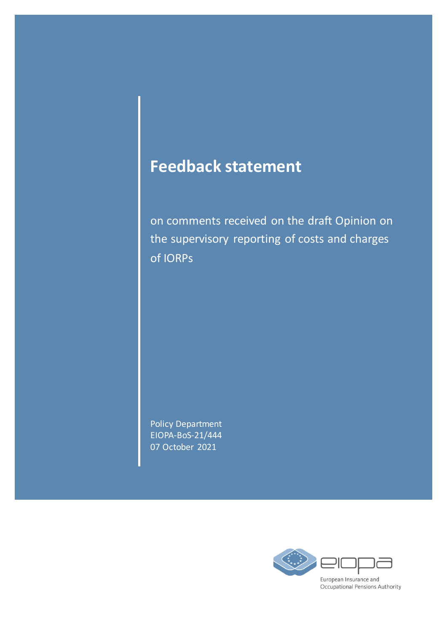# **Feedback statement**

on comments received on the draft Opinion on the supervisory reporting of costs and charges of IORPs

Policy Department EIOPA-BoS-21/444 07 October 2021

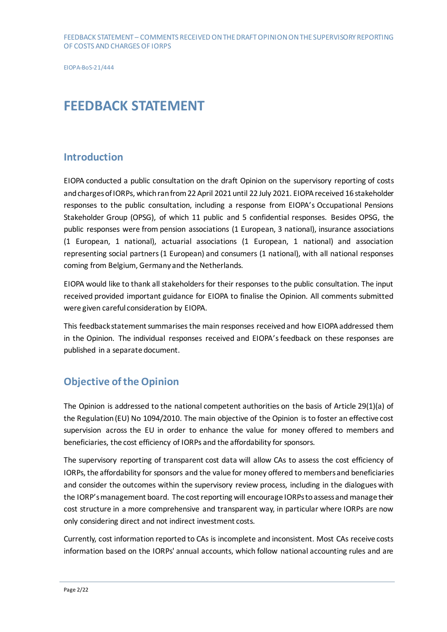# **FEEDBACK STATEMENT**

# **Introduction**

EIOPA conducted a public consultation on the draft Opinion on the supervisory reporting of costs and charges of IORPs, which ran from 22 April 2021 until 22 July 2021. EIOPA received 16 stakeholder responses to the public consultation, including a response from EIOPA's Occupational Pensions Stakeholder Group (OPSG), of which 11 public and 5 confidential responses. Besides OPSG, the public responses were from pension associations (1 European, 3 national), insurance associations (1 European, 1 national), actuarial associations (1 European, 1 national) and association representing social partners (1 European) and consumers (1 national), with all national responses coming from Belgium, Germany and the Netherlands.

EIOPA would like to thank all stakeholders for their responses to the public consultation. The input received provided important guidance for EIOPA to finalise the Opinion. All comments submitted were given careful consideration by EIOPA.

This feedback statement summarises the main responses received and how EIOPA addressed them in the Opinion. The individual responses received and EIOPA's feedback on these responses are published in a separate document.

# **Objective of the Opinion**

The Opinion is addressed to the national competent authorities on the basis of Article 29(1)(a) of the Regulation(EU) No 1094/2010. The main objective of the Opinion is to foster an effective cost supervision across the EU in order to enhance the value for money offered to members and beneficiaries, the cost efficiency of IORPs and the affordability for sponsors.

The supervisory reporting of transparent cost data will allow CAs to assess the cost efficiency of IORPs, the affordability for sponsors and the value for money offered to members and beneficiaries and consider the outcomes within the supervisory review process, including in the dialogues with the IORP's management board. The cost reporting will encourage IORPs to assess and manage their cost structure in a more comprehensive and transparent way, in particular where IORPs are now only considering direct and not indirect investment costs.

Currently, cost information reported to CAs is incomplete and inconsistent. Most CAs receive costs information based on the IORPs' annual accounts, which follow national accounting rules and are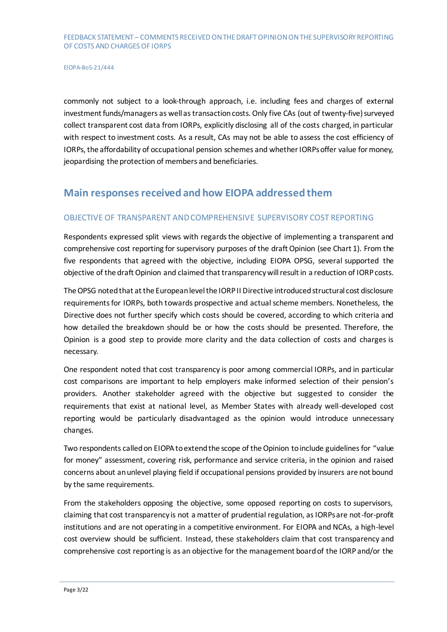commonly not subject to a look-through approach, i.e. including fees and charges of external investment funds/managers as well as transaction costs. Only five CAs (out of twenty-five) surveyed collect transparent cost data from IORPs, explicitly disclosing all of the costs charged, in particular with respect to investment costs. As a result, CAs may not be able to assess the cost efficiency of IORPs, the affordability of occupational pension schemes and whether IORPs offer value for money, jeopardising the protection of members and beneficiaries.

# **Main responses received and how EIOPA addressed them**

## OBJECTIVE OF TRANSPARENT AND COMPREHENSIVE SUPERVISORY COST REPORTING

Respondents expressed split views with regards the objective of implementing a transparent and comprehensive cost reporting for supervisory purposes of the draft Opinion (see Chart 1). From the five respondents that agreed with the objective, including EIOPA OPSG, several supported the objective of the draft Opinion and claimed that transparency will result in a reduction of IORP costs.

The OPSG noted that at the European level the IORP II Directive introduced structural cost disclosure requirements for IORPs, both towards prospective and actual scheme members. Nonetheless, the Directive does not further specify which costs should be covered, according to which criteria and how detailed the breakdown should be or how the costs should be presented. Therefore, the Opinion is a good step to provide more clarity and the data collection of costs and charges is necessary.

One respondent noted that cost transparency is poor among commercial IORPs, and in particular cost comparisons are important to help employers make informed selection of their pension's providers. Another stakeholder agreed with the objective but suggested to consider the requirements that exist at national level, as Member States with already well-developed cost reporting would be particularly disadvantaged as the opinion would introduce unnecessary changes.

Two respondents called on EIOPA to extend the scope of the Opinion to include guidelines for "value for money" assessment, covering risk, performance and service criteria, in the opinion and raised concerns about anunlevel playing field if occupational pensions provided by insurers are not bound by the same requirements.

From the stakeholders opposing the objective, some opposed reporting on costs to supervisors, claiming that cost transparency is not a matter of prudential regulation, as IORPs are not-for-profit institutions and are not operating in a competitive environment. For EIOPA and NCAs, a high-level cost overview should be sufficient. Instead, these stakeholders claim that cost transparency and comprehensive cost reporting is as an objective for the management board of the IORP and/or the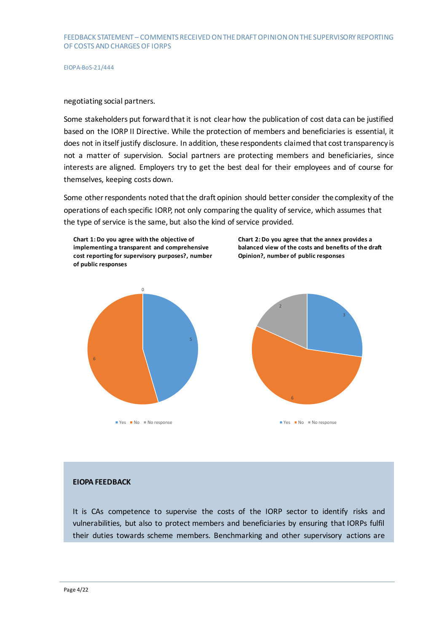#### negotiating social partners.

Some stakeholders put forward that it is not clear how the publication of cost data can be justified based on the IORP II Directive. While the protection of members and beneficiaries is essential, it does not in itself justify disclosure. In addition, these respondents claimed that cost transparency is not a matter of supervision. Social partners are protecting members and beneficiaries, since interests are aligned. Employers try to get the best deal for their employees and of course for themselves, keeping costs down.

Some otherrespondents noted that the draft opinion should better consider the complexity of the operations of each specific IORP, not only comparing the quality of service, which assumes that the type of service is the same, but also the kind of service provided.





**Chart 2: Do you agree that the annex provides a balanced view of the costs and benefits of the draft** 

**Opinion?, number of public responses**

 $\blacksquare$  Yes  $\blacksquare$  No  $\blacksquare$  No response

#### **EIOPA FEEDBACK**

It is CAs competence to supervise the costs of the IORP sector to identify risks and vulnerabilities, but also to protect members and beneficiaries by ensuring that IORPs fulfil their duties towards scheme members. Benchmarking and other supervisory actions are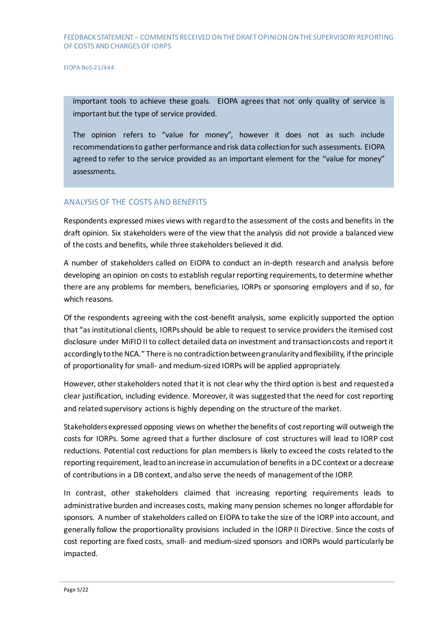important tools to achieve these goals. EIOPA agrees that not only quality of service is important but the type of service provided.

The opinion refers to "value for money", however it does not as such include recommendations to gather performance and risk data collection for such assessments. EIOPA agreed to refer to the service provided as an important element for the "value for money" assessments.

#### ANALYSISOF THE COSTS AND BENEFITS

Respondents expressed mixes views with regard to the assessment of the costs and benefits in the draft opinion. Six stakeholders were of the view that the analysis did not provide a balanced view of the costs and benefits, while three stakeholders believed it did.

A number of stakeholders called on EIOPA to conduct an in-depth research and analysis before developing an opinion on costs to establish regular reporting requirements, to determine whether there are any problems for members, beneficiaries, IORPs or sponsoring employers and if so, for which reasons.

Of the respondents agreeing with the cost-benefit analysis, some explicitly supported the option that "as institutional clients, IORPs should be able to request to service providers the itemised cost disclosure under MiFID II to collect detailed data on investment and transaction costs and report it accordingly to the NCA." There is no contradiction between granularity and flexibility, if the principle of proportionality for small- and medium-sized IORPs will be applied appropriately.

However, other stakeholders noted that it is not clear why the third option is best and requesteda clear justification, including evidence. Moreover, it was suggested that the need for cost reporting and related supervisory actions is highly depending on the structure of the market.

Stakeholders expressed opposing views on whether the benefits of cost reporting will outweigh the costs for IORPs. Some agreed that a further disclosure of cost structures will lead to IORP cost reductions. Potential cost reductions for plan membersis likely to exceed the costs related to the reporting requirement, lead to an increase in accumulation of benefits in a DC context or a decrease of contributionsin a DB context, and also serve the needs of management of the IORP.

In contrast, other stakeholders claimed that increasing reporting requirements leads to administrative burden and increases costs, making many pension schemes no longer affordable for sponsors. A number of stakeholders called on EIOPA to take the size of the IORP into account, and generally follow the proportionality provisions included in the IORP II Directive. Since the costs of cost reporting are fixed costs, small- and medium-sized sponsors and IORPs would particularly be impacted.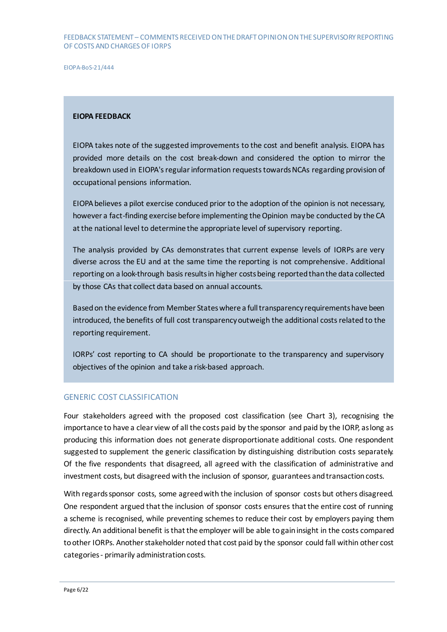EIOPA-BoS-21/444

#### **EIOPA FEEDBACK**

EIOPA takes note of the suggested improvements to the cost and benefit analysis. EIOPA has provided more details on the cost break-down and considered the option to mirror the breakdown used in EIOPA's regular information requests towards NCAs regarding provision of occupational pensions information.

EIOPA believes a pilot exercise conduced prior to the adoption of the opinion is not necessary, however a fact-finding exercise before implementing the Opinion maybe conducted by the CA at the national level to determine the appropriate level of supervisory reporting.

The analysis provided by CAs demonstrates that current expense levels of IORPs are very diverse across the EU and at the same time the reporting is not comprehensive. Additional reporting on a look-through basis results in higher costs being reported than the data collected by those CAs that collect data based on annual accounts.

Based on the evidence from Member States where a full transparency requirements have been introduced, the benefits of full cost transparency outweigh the additional costs related to the reporting requirement.

IORPs' cost reporting to CA should be proportionate to the transparency and supervisory objectives of the opinion and take a risk-based approach.

#### GENERIC COST CLASSIFICATION

Four stakeholders agreed with the proposed cost classification (see Chart 3), recognising the importance to have a clear view of all the costs paid by the sponsor and paid by the IORP, as long as producing this information does not generate disproportionate additional costs. One respondent suggested to supplement the generic classification by distinguishing distribution costs separately. Of the five respondents that disagreed, all agreed with the classification of administrative and investment costs, but disagreed with the inclusion of sponsor, guarantees andtransaction costs.

With regards sponsor costs, some agreed with the inclusion of sponsor costs but others disagreed. One respondent argued that the inclusion of sponsor costs ensures that the entire cost of running a scheme is recognised, while preventing schemes to reduce their cost by employers paying them directly. An additional benefit is thatthe employer will be able to gain insight in the costs compared to other IORPs. Another stakeholder noted that cost paid by the sponsor could fall within other cost categories - primarily administration costs.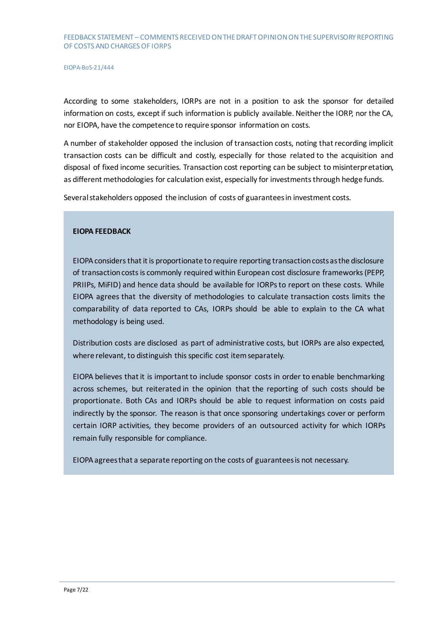According to some stakeholders, IORPs are not in a position to ask the sponsor for detailed information on costs, except if such information is publicly available. Neither the IORP, nor the CA, nor EIOPA, have the competence to require sponsor information on costs.

A number of stakeholder opposed the inclusion of transaction costs, noting that recording implicit transaction costs can be difficult and costly, especially for those related to the acquisition and disposal of fixed income securities. Transaction cost reporting can be subject to misinterpretation, as different methodologies for calculation exist, especially for investments through hedge funds.

Several stakeholders opposed the inclusion of costs of guarantees in investment costs.

### **EIOPA FEEDBACK**

EIOPA considers that it is proportionate to require reporting transaction costs as the disclosure of transaction costs is commonly required within European cost disclosure frameworks (PEPP, PRIIPs, MiFID) and hence data should be available for IORPs to report on these costs. While EIOPA agrees that the diversity of methodologies to calculate transaction costs limits the comparability of data reported to CAs, IORPs should be able to explain to the CA what methodology is being used.

Distribution costs are disclosed as part of administrative costs, but IORPs are also expected, where relevant, to distinguish this specific cost item separately.

EIOPA believes that it is important to include sponsor costs in order to enable benchmarking across schemes, but reiterated in the opinion that the reporting of such costs should be proportionate. Both CAs and IORPs should be able to request information on costs paid indirectly by the sponsor. The reason is that once sponsoring undertakings cover or perform certain IORP activities, they become providers of an outsourced activity for which IORPs remain fully responsible for compliance.

EIOPA agrees that a separate reporting on the costs of guarantees is not necessary.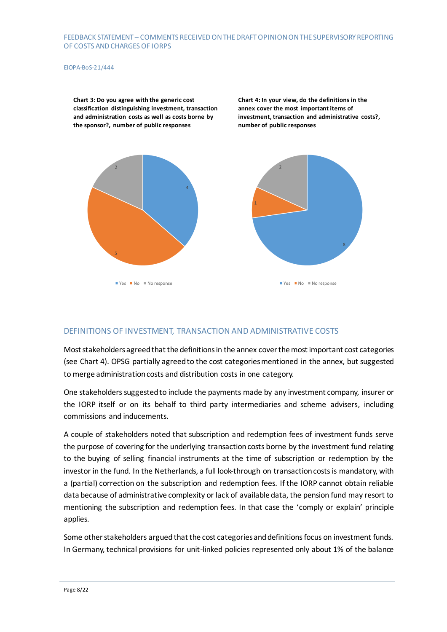#### EIOPA-BoS-21/444

**Chart 3: Do you agree with the generic cost classification distinguishing investment, transaction and administration costs as well as costs borne by the sponsor?, number of public responses**

**Chart 4: In your view, do the definitions in the annex cover the most important items of investment, transaction and administrative costs?, number of public responses**



#### DEFINITIONS OF INVESTMENT, TRANSACTION AND ADMINISTRATIVE COSTS

Most stakeholdersagreed that the definitions in the annex cover the most important cost categories (see Chart 4). OPSG partially agreed to the cost categories mentioned in the annex, but suggested to merge administration costs and distribution costs in one category.

One stakeholders suggested to include the payments made by any investment company, insurer or the IORP itself or on its behalf to third party intermediaries and scheme advisers, including commissions and inducements.

A couple of stakeholders noted that subscription and redemption fees of investment funds serve the purpose of covering for the underlying transaction costs borne by the investment fund relating to the buying of selling financial instruments at the time of subscription or redemption by the investor in the fund. In the Netherlands, a full look-through on transaction costs is mandatory, with a (partial) correction on the subscription and redemption fees. If the IORP cannot obtain reliable data because of administrative complexity or lack of available data, the pension fund may resort to mentioning the subscription and redemption fees. In that case the 'comply or explain' principle applies.

Some other stakeholders argued that the cost categories and definitions focus on investment funds. In Germany, technical provisions for unit-linked policies represented only about 1% of the balance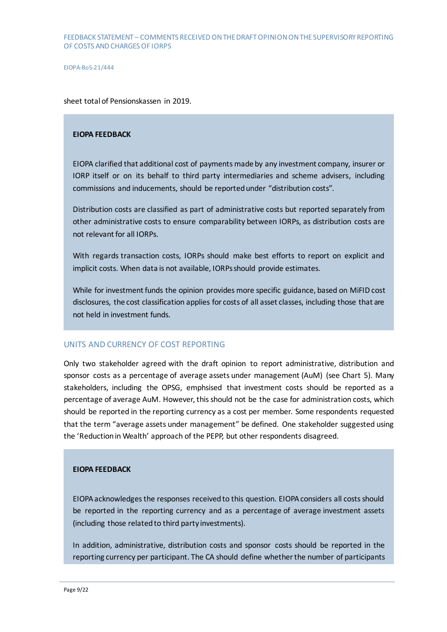sheet total of Pensionskassen in 2019.

#### **EIOPA FEEDBACK**

EIOPA clarified that additional cost of payments made by any investment company, insurer or IORP itself or on its behalf to third party intermediaries and scheme advisers, including commissions and inducements, should be reported under "distribution costs".

Distribution costs are classified as part of administrative costs but reported separately from other administrative costs to ensure comparability between IORPs, as distribution costs are not relevant for all IORPs.

With regards transaction costs, IORPs should make best efforts to report on explicit and implicit costs. When data is not available, IORPs should provide estimates.

While for investment funds the opinion provides more specific guidance, based on MiFID cost disclosures, the cost classification applies for costs of all asset classes, including those that are not held in investment funds.

#### UNITS AND CURRENCY OF COST REPORTING

Only two stakeholder agreed with the draft opinion to report administrative, distribution and sponsor costs as a percentage of average assets under management (AuM) (see Chart 5). Many stakeholders, including the OPSG, emphsised that investment costs should be reported as a percentage of average AuM. However, this should not be the case for administration costs, which should be reported in the reporting currency as a cost per member. Some respondents requested that the term "average assets under management" be defined. One stakeholder suggested using the 'Reduction in Wealth' approach of the PEPP, but other respondents disagreed.

#### **EIOPA FEEDBACK**

EIOPA acknowledges the responses received to this question. EIOPA considers all costs should be reported in the reporting currency and as a percentage of average investment assets (including those related to third party investments).

In addition, administrative, distribution costs and sponsor costs should be reported in the reporting currency per participant. The CA should define whether the number of participants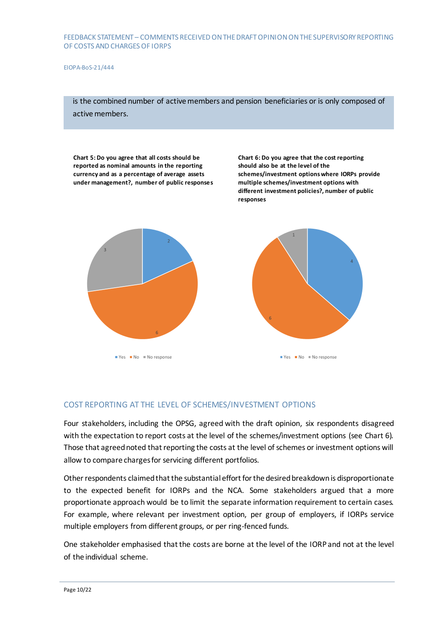EIOPA-BoS-21/444

is the combined number of active members and pension beneficiaries or is only composed of active members.

**Chart 5: Do you agree that all costs should be reported as nominal amounts in the reporting currency and as a percentage of average assets under management?, number of public responses** **Chart 6: Do you agree that the cost reporting should also be at the level of the schemes/investment options where IORPs provide multiple schemes/investment options with different investment policies?, number of public responses**



 $\blacksquare$  Yes  $\blacksquare$  No  $\blacksquare$  No response



#### COST REPORTING AT THE LEVEL OF SCHEMES/INVESTMENT OPTIONS

Four stakeholders, including the OPSG, agreed with the draft opinion, six respondents disagreed with the expectation to report costs at the level of the schemes/investment options (see Chart 6). Those that agreed noted that reporting the costs at the level of schemes or investment options will allow to compare charges for servicing different portfolios.

Other respondents claimed that the substantial effort for the desired breakdown is disproportionate to the expected benefit for IORPs and the NCA. Some stakeholders argued that a more proportionate approach would be to limit the separate information requirement to certain cases. For example, where relevant per investment option, per group of employers, if IORPs service multiple employers from different groups, or per ring-fenced funds.

One stakeholder emphasised that the costs are borne at the level of the IORP and not at the level of the individual scheme.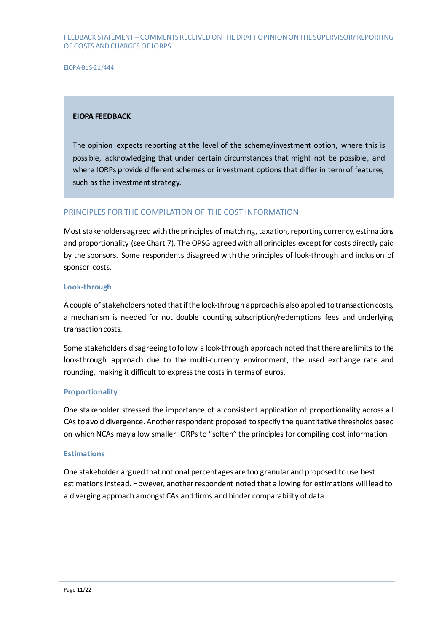EIOPA-BoS-21/444

#### **EIOPA FEEDBACK**

The opinion expects reporting at the level of the scheme/investment option, where this is possible, acknowledging that under certain circumstances that might not be possible, and where IORPs provide different schemes or investment options that differ in term of features, such as the investment strategy.

#### PRINCIPLES FOR THE COMPILATION OF THE COST INFORMATION

Most stakeholders agreed with the principles of matching, taxation, reporting currency, estimations and proportionality (see Chart 7). The OPSG agreed with all principles except for costs directly paid by the sponsors. Some respondents disagreed with the principles of look-through and inclusion of sponsor costs.

#### **Look-through**

A couple of stakeholders noted that if the look-through approach is also applied to transaction costs, a mechanism is needed for not double counting subscription/redemptions fees and underlying transaction costs.

Some stakeholders disagreeing to follow a look-through approach noted that there are limits to the look-through approach due to the multi-currency environment, the used exchange rate and rounding, making it difficult to express the costs in terms of euros.

#### **Proportionality**

One stakeholder stressed the importance of a consistent application of proportionality across all CAs to avoid divergence. Another respondent proposed to specify the quantitative thresholds based on which NCAs may allow smaller IORPs to "soften" the principles for compiling cost information.

#### **Estimations**

One stakeholder argued that notional percentages are too granular and proposed to use best estimations instead. However, another respondent noted that allowing for estimations will lead to a diverging approach amongst CAs and firms and hinder comparability of data.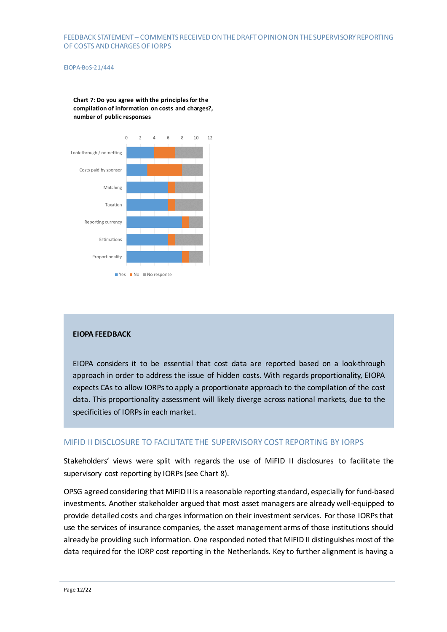#### EIOPA-BoS-21/444

**Chart 7: Do you agree with the principles for the compilation of information on costs and charges?, number of public responses**



#### **EIOPA FEEDBACK**

EIOPA considers it to be essential that cost data are reported based on a look-through approach in order to address the issue of hidden costs. With regards proportionality, EIOPA expects CAs to allow IORPs to apply a proportionate approach to the compilation of the cost data. This proportionality assessment will likely diverge across national markets, due to the specificities of IORPs in each market.

#### MIFID II DISCLOSURE TO FACILITATE THE SUPERVISORY COST REPORTING BY IORPS

Stakeholders' views were split with regards the use of MiFID II disclosures to facilitate the supervisory cost reporting by IORPs (see Chart 8).

OPSG agreed considering that MiFID II is a reasonable reporting standard, especially for fund-based investments. Another stakeholder argued that most asset managers are already well-equipped to provide detailed costs and charges information on their investment services. For those IORPs that use the services of insurance companies, the asset management arms of those institutions should already be providing such information. One responded noted that MiFID II distinguishes most of the data required for the IORP cost reporting in the Netherlands. Key to further alignment is having a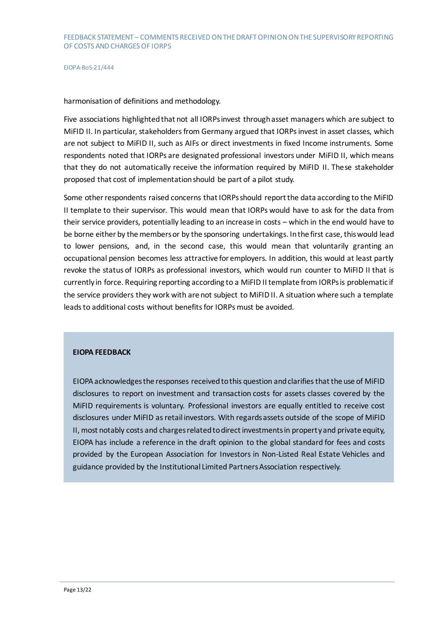harmonisation of definitions and methodology.

Five associations highlighted that not all IORPs invest through asset managers which are subject to MiFID II. In particular, stakeholders from Germany argued that IORPs invest in asset classes, which are not subject to MiFID II, such as AIFs or direct investments in fixed Income instruments. Some respondents noted that IORPs are designated professional investors under MiFID II, which means that they do not automatically receive the information required by MiFID II. These stakeholder proposed that cost of implementation should be part of a pilot study.

Some other respondents raised concerns that IORPs should report the data according to the MiFID II template to their supervisor. This would mean that IORPs would have to ask for the data from their service providers, potentially leading to an increase in costs – which in the end would have to be borne either by the members or by the sponsoring undertakings. In the first case, this would lead to lower pensions, and, in the second case, this would mean that voluntarily granting an occupational pension becomes less attractive for employers. In addition, this would at least partly revoke the status of IORPs as professional investors, which would run counter to MiFID II that is currently in force. Requiring reporting according to a MiFID II template from IORPs is problematic if the service providers they work with are not subject to MiFID II. A situation where such a template leads to additional costs without benefits for IORPs must be avoided.

#### **EIOPA FEEDBACK**

EIOPA acknowledges the responses received to this question and clarifies that the use of MiFID disclosures to report on investment and transaction costs for assets classes covered by the MiFID requirements is voluntary. Professional investors are equally entitled to receive cost disclosures under MiFID as retail investors. With regards assets outside of the scope of MiFID II, most notably costs and charges related to direct investments in property and private equity, EIOPA has include a reference in the draft opinion to the global standard for fees and costs provided by the European Association for Investors in Non-Listed Real Estate Vehicles and guidance provided by the Institutional Limited Partners Association respectively.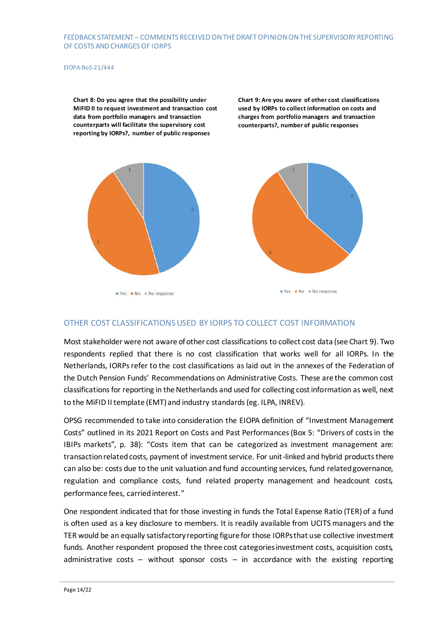#### EIOPA-BoS-21/444

**Chart 8: Do you agree that the possibility under MiFID II to request investment and transaction cost data from portfolio managers and transaction counterparts will facilitate the supervisory cost reporting by IORPs?, number of public responses**

**Chart 9: Are you aware of other cost classifications used by IORPs to collect information on costs and charges from portfolio managers and transaction counterparts?, number of public responses**



 $Yes = No = No$  response





## OTHER COST CLASSIFICATIONS USED BY IORPS TO COLLECT COST INFORMATION

Most stakeholder were not aware of other cost classifications to collect cost data (see Chart 9). Two respondents replied that there is no cost classification that works well for all IORPs. In the Netherlands, IORPs refer to the cost classifications as laid out in the annexes of the Federation of the Dutch Pension Funds' Recommendations on Administrative Costs. These are the common cost classifications for reporting in the Netherlands and used for collecting cost information as well, next to the MiFID II template (EMT) and industry standards (eg. ILPA, INREV).

OPSG recommended to take into consideration the EIOPA definition of "Investment Management Costs" outlined in its 2021 Report on Costs and Past Performances (Box 5: "Drivers of costs in the IBIPs markets", p. 38): "Costs item that can be categorized as investment management are: transaction related costs, payment of investment service. For unit-linked and hybrid products there can also be: costs due to the unit valuation and fund accounting services, fund related governance, regulation and compliance costs, fund related property management and headcount costs, performance fees, carried interest."

One respondent indicated that for those investing in funds the Total Expense Ratio (TER) of a fund is often used as a key disclosure to members. It is readily available from UCITS managers and the TER would be an equally satisfactory reporting figure for those IORPs that use collective investment funds. Another respondent proposed the three cost categories investment costs, acquisition costs, administrative costs – without sponsor costs – in accordance with the existing reporting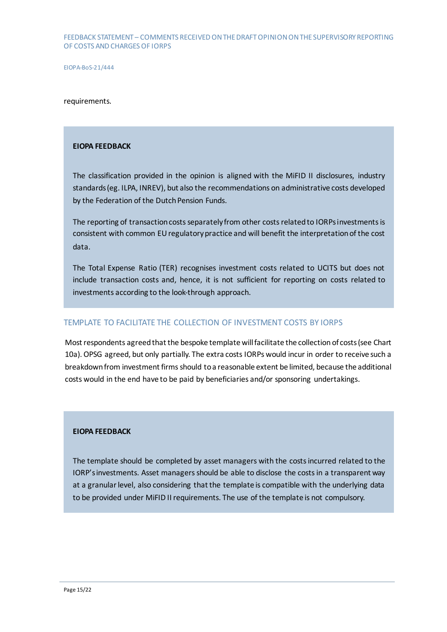#### requirements.

#### **EIOPA FEEDBACK**

The classification provided in the opinion is aligned with the MiFID II disclosures, industry standards (eg. ILPA, INREV), but also the recommendations on administrative costs developed by the Federation of the Dutch Pension Funds.

The reporting of transaction costs separately from other costs related to IORPs investments is consistent with common EU regulatory practice and will benefit the interpretation of the cost data.

The Total Expense Ratio (TER) recognises investment costs related to UCITS but does not include transaction costs and, hence, it is not sufficient for reporting on costs related to investments according to the look-through approach.

#### TEMPLATE TO FACILITATE THE COLLECTION OF INVESTMENT COSTS BY IORPS

Most respondents agreed that the bespoke template will facilitate the collection of costs(see Chart 10a). OPSG agreed, but only partially. The extra costs IORPs would incur in order to receive such a breakdown from investment firms should to a reasonable extent be limited, because the additional costs would in the end have to be paid by beneficiaries and/or sponsoring undertakings.

#### **EIOPA FEEDBACK**

The template should be completed by asset managers with the costs incurred related to the IORP'sinvestments. Asset managers should be able to disclose the costs in a transparent way at a granular level, also considering that the template is compatible with the underlying data to be provided under MiFID II requirements. The use of the template is not compulsory.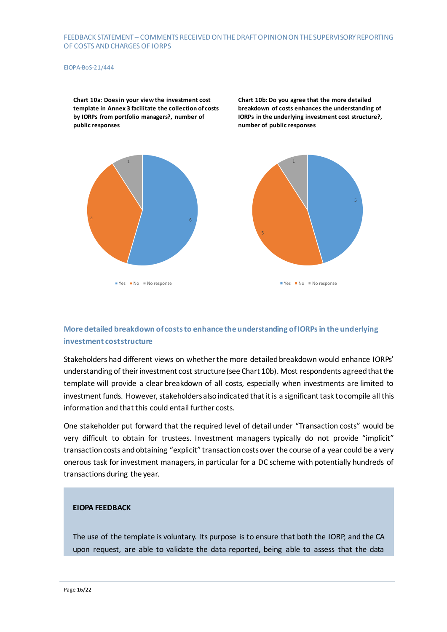#### EIOPA-BoS-21/444

**Chart 10a: Does in your view the investment cost template in Annex 3 facilitate the collection of costs by IORPs from portfolio managers?, number of public responses**

**Chart 10b: Do you agree that the more detailed breakdown of costs enhances the understanding of IORPs in the underlying investment cost structure?, number of public responses**



 $Yes$  Mo  $No$  Moresponse



 $\blacksquare$  Yes  $\blacksquare$  No  $\blacksquare$  No response

## **More detailed breakdown of costs to enhance the understanding of IORPs in the underlying investment cost structure**

Stakeholders had different views on whether the more detailed breakdown would enhance IORPs' understanding of their investment cost structure (see Chart 10b). Most respondents agreed that the template will provide a clear breakdown of all costs, especially when investments are limited to investment funds. However, stakeholders also indicated that it is a significant task to compile all this information and that this could entail further costs.

One stakeholder put forward that the required level of detail under "Transaction costs" would be very difficult to obtain for trustees. Investment managers typically do not provide "implicit" transaction costs and obtaining "explicit" transaction costs over the course of a year could be a very onerous task for investment managers, in particular for a DC scheme with potentially hundreds of transactions during the year.

#### **EIOPA FEEDBACK**

The use of the template is voluntary. Its purpose is to ensure that both the IORP, and the CA upon request, are able to validate the data reported, being able to assess that the data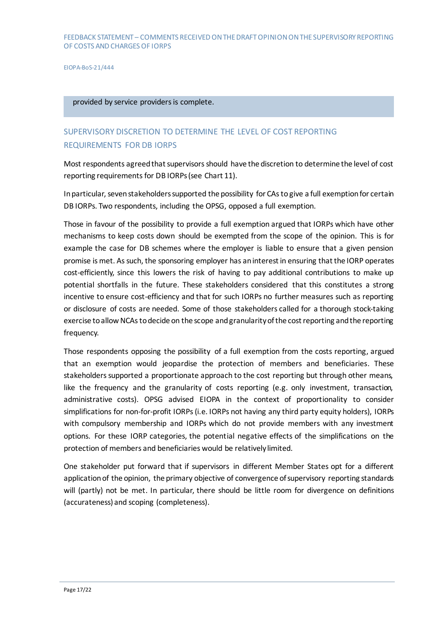#### provided by service providers is complete.

# SUPERVISORY DISCRETION TO DETERMINE THE LEVEL OF COST REPORTING REQUIREMENTS FOR DB IORPS

Most respondents agreed that supervisors should have the discretion to determine the level of cost reporting requirements for DB IORPs(see Chart 11).

In particular, seven stakeholderssupported the possibility for CAs to give a full exemption for certain DB IORPs. Two respondents, including the OPSG, opposed a full exemption.

Those in favour of the possibility to provide a full exemption argued that IORPs which have other mechanisms to keep costs down should be exempted from the scope of the opinion. This is for example the case for DB schemes where the employer is liable to ensure that a given pension promise is met. As such, the sponsoring employer has an interest in ensuring that the IORP operates cost-efficiently, since this lowers the risk of having to pay additional contributions to make up potential shortfalls in the future. These stakeholders considered that this constitutes a strong incentive to ensure cost-efficiency and that for such IORPs no further measures such as reporting or disclosure of costs are needed. Some of those stakeholders called for a thorough stock-taking exercise to allow NCAs to decide on the scope and granularity of the cost reporting and the reporting frequency.

Those respondents opposing the possibility of a full exemption from the costs reporting, argued that an exemption would jeopardise the protection of members and beneficiaries. These stakeholders supported a proportionate approach to the cost reporting but through other means, like the frequency and the granularity of costs reporting (e.g. only investment, transaction, administrative costs). OPSG advised EIOPA in the context of proportionality to consider simplifications for non-for-profit IORPs (i.e. IORPs not having any third party equity holders), IORPs with compulsory membership and IORPs which do not provide members with any investment options. For these IORP categories, the potential negative effects of the simplifications on the protection of members and beneficiaries would be relatively limited.

One stakeholder put forward that if supervisors in different Member States opt for a different application of the opinion, the primary objective of convergence of supervisory reporting standards will (partly) not be met. In particular, there should be little room for divergence on definitions (accurateness) and scoping (completeness).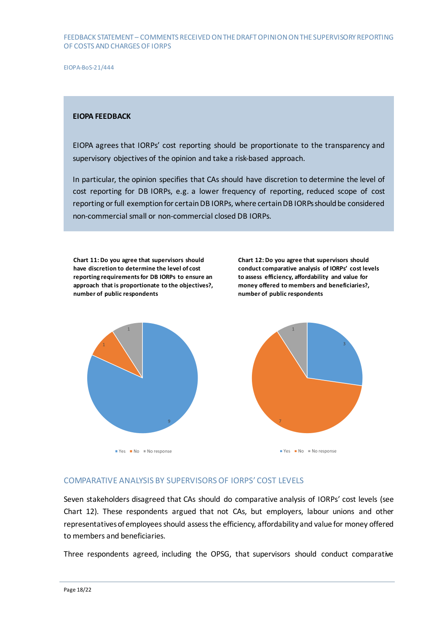EIOPA-BoS-21/444

#### **EIOPA FEEDBACK**

EIOPA agrees that IORPs' cost reporting should be proportionate to the transparency and supervisory objectives of the opinion and take a risk-based approach.

In particular, the opinion specifies that CAs should have discretion to determine the level of cost reporting for DB IORPs, e.g. a lower frequency of reporting, reduced scope of cost reporting or full exemption for certain DB IORPs, where certain DB IORPs should be considered non-commercial small or non-commercial closed DB IORPs.

**Chart 11: Do you agree that supervisors should have discretion to determine the level of cost reporting requirements for DB IORPs to ensure an approach that is proportionate to the objectives?, number of public respondents**

**Chart 12: Do you agree that supervisors should conduct comparative analysis of IORPs' cost levels to assess efficiency, affordability and value for money offered to members and beneficiaries?, number of public respondents**



 $\blacksquare$  Yes  $\blacksquare$  No  $\blacksquare$  No response





## COMPARATIVE ANALYSIS BY SUPERVISORS OF IORPS' COST LEVELS

Seven stakeholders disagreed that CAs should do comparative analysis of IORPs' cost levels (see Chart 12). These respondents argued that not CAs, but employers, labour unions and other representatives of employees should assess the efficiency, affordability and value for money offered to members and beneficiaries.

Three respondents agreed, including the OPSG, that supervisors should conduct comparative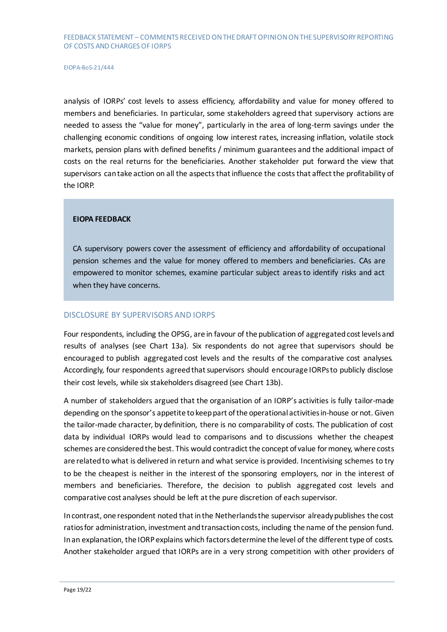analysis of IORPs' cost levels to assess efficiency, affordability and value for money offered to members and beneficiaries. In particular, some stakeholders agreed that supervisory actions are needed to assess the "value for money", particularly in the area of long-term savings under the challenging economic conditions of ongoing low interest rates, increasing inflation, volatile stock markets, pension plans with defined benefits / minimum guarantees and the additional impact of costs on the real returns for the beneficiaries. Another stakeholder put forward the view that supervisors can take action on all the aspects that influence the costs that affect the profitability of the IORP.

#### **EIOPA FEEDBACK**

CA supervisory powers cover the assessment of efficiency and affordability of occupational pension schemes and the value for money offered to members and beneficiaries. CAs are empowered to monitor schemes, examine particular subject areas to identify risks and act when they have concerns.

#### DISCLOSURE BY SUPERVISORS AND IORPS

Four respondents, including the OPSG, are in favour of the publication of aggregated cost levels and results of analyses (see Chart 13a). Six respondents do not agree that supervisors should be encouraged to publish aggregated cost levels and the results of the comparative cost analyses. Accordingly, four respondents agreedthat supervisors should encourage IORPs to publicly disclose their cost levels, while six stakeholders disagreed (see Chart 13b).

A number of stakeholders argued that the organisation of an IORP's activities is fully tailor-made depending on the sponsor's appetite to keep part ofthe operational activities in-house or not. Given the tailor-made character, by definition, there is no comparability of costs. The publication of cost data by individual IORPs would lead to comparisons and to discussions whether the cheapest schemes are considered the best. This would contradict the concept of value for money, where costs are relatedto what is delivered in return and what service is provided. Incentivising schemes to try to be the cheapest is neither in the interest of the sponsoring employers, nor in the interest of members and beneficiaries. Therefore, the decision to publish aggregated cost levels and comparative cost analyses should be left at the pure discretion of each supervisor.

In contrast, one respondent noted that in the Netherlands the supervisor already publishes the cost ratios for administration, investment and transaction costs, including the name of the pension fund. In an explanation, the IORP explains which factors determine the level of the different type of costs. Another stakeholder argued that IORPs are in a very strong competition with other providers of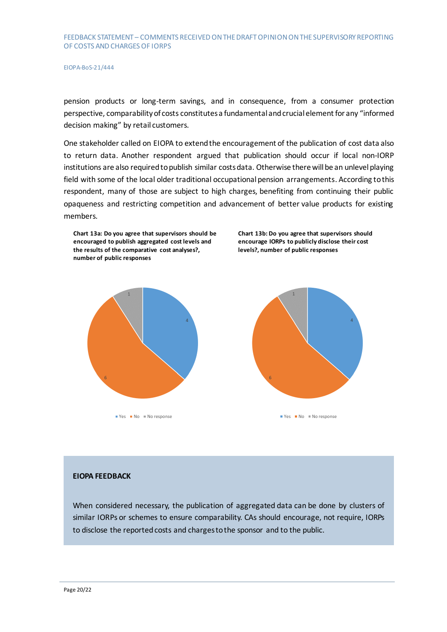pension products or long-term savings, and in consequence, from a consumer protection perspective, comparability of costs constitutes a fundamental and crucial element for any "informed decision making" by retail customers.

One stakeholder called on EIOPA to extend the encouragement of the publication of cost data also to return data. Another respondent argued that publication should occur if local non-IORP institutions are also required to publish similar costs data. Otherwise there will be an unlevel playing field with some of the local older traditional occupational pension arrangements. According to this respondent, many of those are subject to high charges, benefiting from continuing their public opaqueness and restricting competition and advancement of better value products for existing members.

**Chart 13a: Do you agree that supervisors should be encouraged to publish aggregated cost levels and the results of the comparative cost analyses?, number of public responses**



 $\blacksquare$  Yes  $\blacksquare$  No  $\blacksquare$  No response





#### **EIOPA FEEDBACK**

When considered necessary, the publication of aggregated data can be done by clusters of similar IORPs or schemes to ensure comparability. CAs should encourage, not require, IORPs to disclose the reported costs and charges to the sponsor and to the public.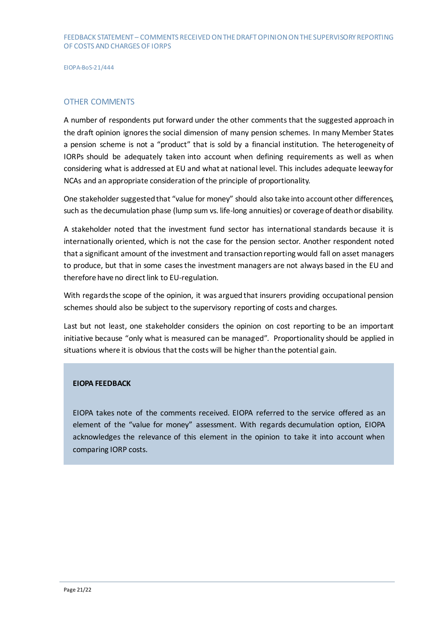#### OTHER COMMENTS

A number of respondents put forward under the other comments that the suggested approach in the draft opinion ignores the social dimension of many pension schemes. In many Member States a pension scheme is not a "product" that is sold by a financial institution. The heterogeneity of IORPs should be adequately taken into account when defining requirements as well as when considering what is addressed at EU and what at national level. This includes adequate leeway for NCAs and an appropriate consideration of the principle of proportionality.

One stakeholder suggested that "value for money" should also take into account other differences, such as the decumulation phase (lump sum vs. life-long annuities) or coverage of death or disability.

A stakeholder noted that the investment fund sector has international standards because it is internationally oriented, which is not the case for the pension sector. Another respondent noted that a significant amount of the investment and transaction reporting would fall on asset managers to produce, but that in some cases the investment managers are not always based in the EU and therefore have no direct link to EU-regulation.

With regards the scope of the opinion, it was arguedthat insurers providing occupational pension schemes should also be subject to the supervisory reporting of costs and charges.

Last but not least, one stakeholder considers the opinion on cost reporting to be an important initiative because "only what is measured can be managed". Proportionality should be applied in situations where it is obvious that the costs will be higher than the potential gain.

#### **EIOPA FEEDBACK**

EIOPA takes note of the comments received. EIOPA referred to the service offered as an element of the "value for money" assessment. With regards decumulation option, EIOPA acknowledges the relevance of this element in the opinion to take it into account when comparing IORP costs.